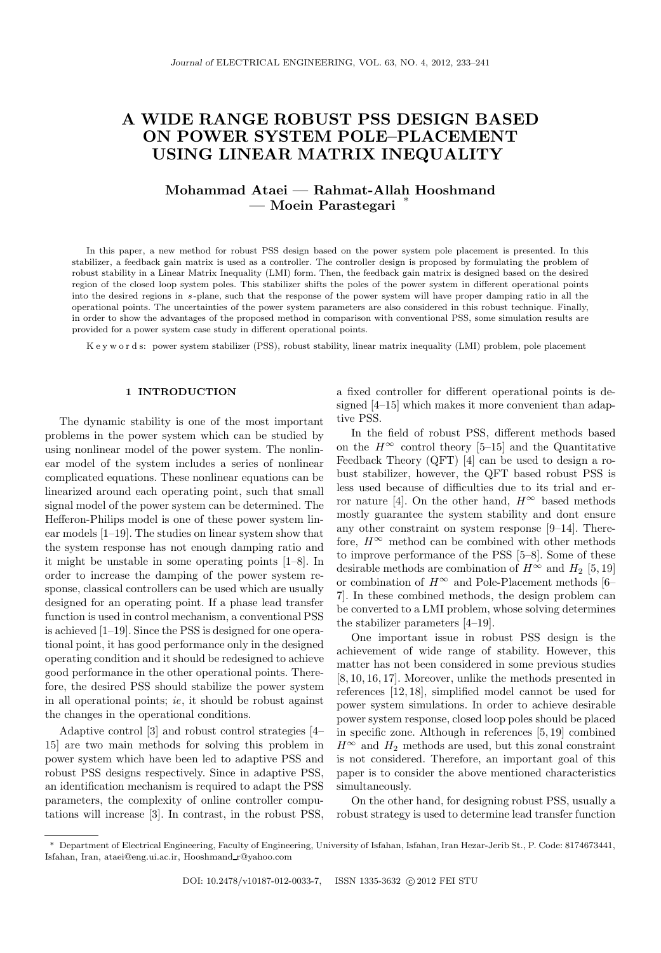# A WIDE RANGE ROBUST PSS DESIGN BASED ON POWER SYSTEM POLE–PLACEMENT USING LINEAR MATRIX INEQUALITY

# Mohammad Ataei — Rahmat-Allah Hooshmand — Moein Parastegari

In this paper, a new method for robust PSS design based on the power system pole placement is presented. In this stabilizer, a feedback gain matrix is used as a controller. The controller design is proposed by formulating the problem of robust stability in a Linear Matrix Inequality (LMI) form. Then, the feedback gain matrix is designed based on the desired region of the closed loop system poles. This stabilizer shifts the poles of the power system in different operational points into the desired regions in s -plane, such that the response of the power system will have proper damping ratio in all the operational points. The uncertainties of the power system parameters are also considered in this robust technique. Finally, in order to show the advantages of the proposed method in comparison with conventional PSS, some simulation results are provided for a power system case study in different operational points.

K e y w o r d s: power system stabilizer (PSS), robust stability, linear matrix inequality (LMI) problem, pole placement

# 1 INTRODUCTION

The dynamic stability is one of the most important problems in the power system which can be studied by using nonlinear model of the power system. The nonlinear model of the system includes a series of nonlinear complicated equations. These nonlinear equations can be linearized around each operating point, such that small signal model of the power system can be determined. The Hefferon-Philips model is one of these power system linear models [1–19]. The studies on linear system show that the system response has not enough damping ratio and it might be unstable in some operating points [1–8]. In order to increase the damping of the power system response, classical controllers can be used which are usually designed for an operating point. If a phase lead transfer function is used in control mechanism, a conventional PSS is achieved [1–19]. Since the PSS is designed for one operational point, it has good performance only in the designed operating condition and it should be redesigned to achieve good performance in the other operational points. Therefore, the desired PSS should stabilize the power system in all operational points; ie, it should be robust against the changes in the operational conditions.

Adaptive control [3] and robust control strategies [4– 15] are two main methods for solving this problem in power system which have been led to adaptive PSS and robust PSS designs respectively. Since in adaptive PSS, an identification mechanism is required to adapt the PSS parameters, the complexity of online controller computations will increase [3]. In contrast, in the robust PSS,

a fixed controller for different operational points is designed [4–15] which makes it more convenient than adaptive PSS.

In the field of robust PSS, different methods based on the  $H^{\infty}$  control theory [5–15] and the Quantitative Feedback Theory (QFT) [4] can be used to design a robust stabilizer, however, the QFT based robust PSS is less used because of difficulties due to its trial and error nature [4]. On the other hand,  $H^{\infty}$  based methods mostly guarantee the system stability and dont ensure any other constraint on system response [9–14]. Therefore,  $H^{\infty}$  method can be combined with other methods to improve performance of the PSS [5–8]. Some of these desirable methods are combination of  $H^{\infty}$  and  $H_2$  [5, 19] or combination of  $H^{\infty}$  and Pole-Placement methods [6– 7]. In these combined methods, the design problem can be converted to a LMI problem, whose solving determines the stabilizer parameters [4–19].

One important issue in robust PSS design is the achievement of wide range of stability. However, this matter has not been considered in some previous studies [8, 10, 16, 17]. Moreover, unlike the methods presented in references [12, 18], simplified model cannot be used for power system simulations. In order to achieve desirable power system response, closed loop poles should be placed in specific zone. Although in references [5, 19] combined  $H^{\infty}$  and  $H_2$  methods are used, but this zonal constraint is not considered. Therefore, an important goal of this paper is to consider the above mentioned characteristics simultaneously.

On the other hand, for designing robust PSS, usually a robust strategy is used to determine lead transfer function

<sup>∗</sup> Department of Electrical Engineering, Faculty of Engineering, University of Isfahan, Isfahan, Iran Hezar-Jerib St., P. Code: 8174673441, Isfahan, Iran, ataei@eng.ui.ac.ir, Hooshmand r@yahoo.com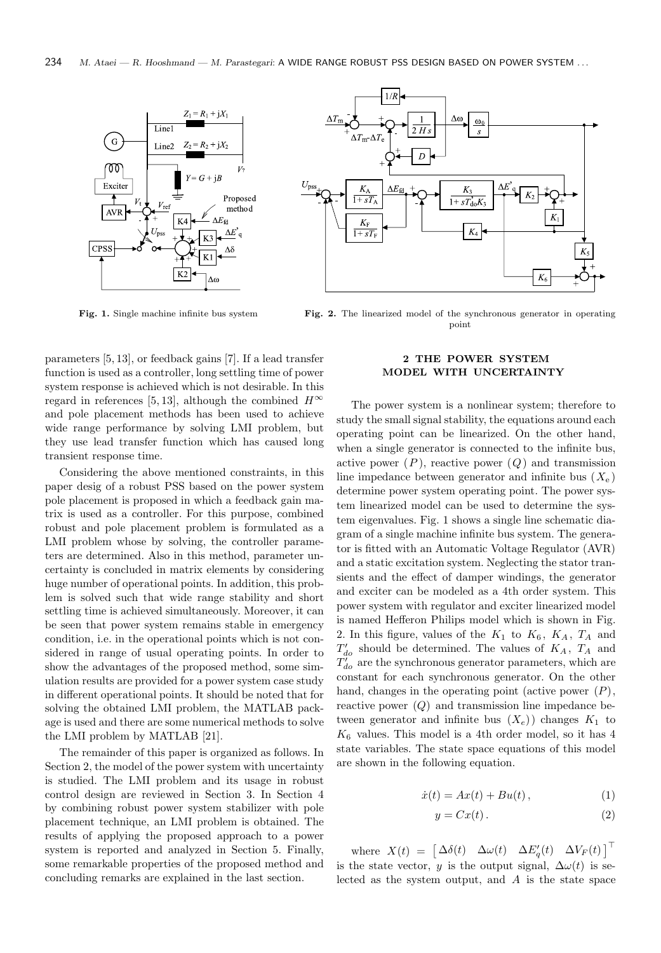



Fig. 1. Single machine infinite bus system Fig. 2. The linearized model of the synchronous generator in operating point

parameters [5, 13], or feedback gains [7]. If a lead transfer function is used as a controller, long settling time of power system response is achieved which is not desirable. In this regard in references [5, 13], although the combined  $H^{\infty}$ and pole placement methods has been used to achieve wide range performance by solving LMI problem, but they use lead transfer function which has caused long transient response time.

Considering the above mentioned constraints, in this paper desig of a robust PSS based on the power system pole placement is proposed in which a feedback gain matrix is used as a controller. For this purpose, combined robust and pole placement problem is formulated as a LMI problem whose by solving, the controller parameters are determined. Also in this method, parameter uncertainty is concluded in matrix elements by considering huge number of operational points. In addition, this problem is solved such that wide range stability and short settling time is achieved simultaneously. Moreover, it can be seen that power system remains stable in emergency condition, i.e. in the operational points which is not considered in range of usual operating points. In order to show the advantages of the proposed method, some simulation results are provided for a power system case study in different operational points. It should be noted that for solving the obtained LMI problem, the MATLAB package is used and there are some numerical methods to solve the LMI problem by MATLAB [21].

The remainder of this paper is organized as follows. In Section 2, the model of the power system with uncertainty is studied. The LMI problem and its usage in robust control design are reviewed in Section 3. In Section 4 by combining robust power system stabilizer with pole placement technique, an LMI problem is obtained. The results of applying the proposed approach to a power system is reported and analyzed in Section 5. Finally, some remarkable properties of the proposed method and concluding remarks are explained in the last section.

## 2 THE POWER SYSTEM MODEL WITH UNCERTAINTY

The power system is a nonlinear system; therefore to study the small signal stability, the equations around each operating point can be linearized. On the other hand, when a single generator is connected to the infinite bus, active power  $(P)$ , reactive power  $(Q)$  and transmission line impedance between generator and infinite bus  $(X_e)$ determine power system operating point. The power system linearized model can be used to determine the system eigenvalues. Fig. 1 shows a single line schematic diagram of a single machine infinite bus system. The generator is fitted with an Automatic Voltage Regulator (AVR) and a static excitation system. Neglecting the stator transients and the effect of damper windings, the generator and exciter can be modeled as a 4th order system. This power system with regulator and exciter linearized model is named Hefferon Philips model which is shown in Fig. 2. In this figure, values of the  $K_1$  to  $K_6$ ,  $K_A$ ,  $T_A$  and  $T'_{do}$  should be determined. The values of  $K_A$ ,  $T_A$  and  $T^\prime_{do}$  are the synchronous generator parameters, which are constant for each synchronous generator. On the other hand, changes in the operating point (active power  $(P)$ , reactive power  $(Q)$  and transmission line impedance between generator and infinite bus  $(X_e)$  changes  $K_1$  to  $K_6$  values. This model is a 4th order model, so it has 4 state variables. The state space equations of this model are shown in the following equation.

$$
\dot{x}(t) = Ax(t) + Bu(t), \qquad (1)
$$

$$
y = Cx(t). \tag{2}
$$

where  $X(t) = [\Delta \delta(t) \ \Delta \omega(t) \ \Delta E_q'(t) \ \Delta V_F(t)]^{\top}$ is the state vector, y is the output signal,  $\Delta\omega(t)$  is selected as the system output, and  $A$  is the state space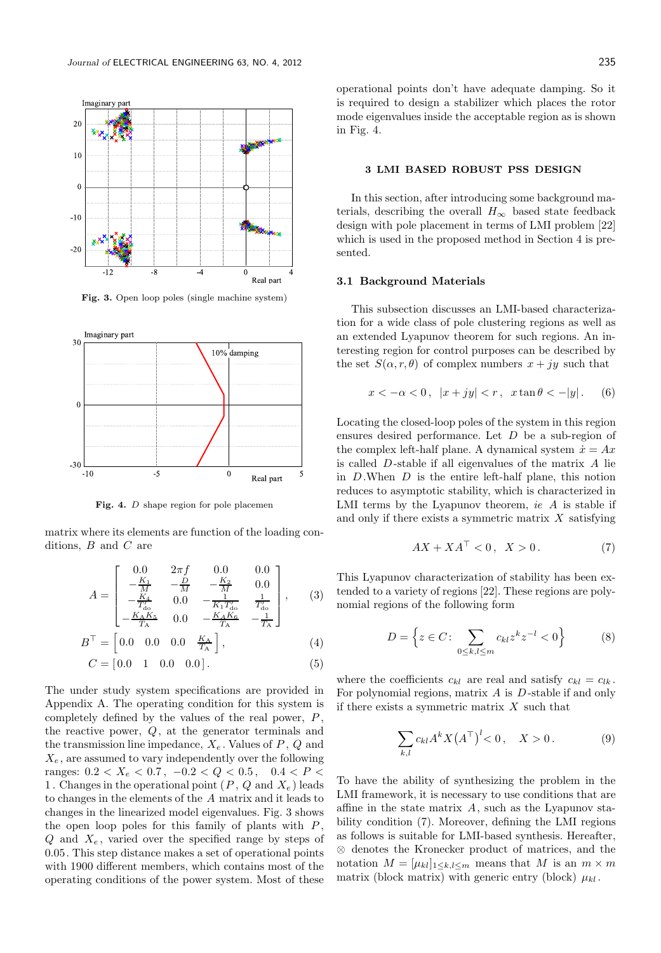

Fig. 3. Open loop poles (single machine system)



Fig. 4. D shape region for pole placemen

matrix where its elements are function of the loading conditions, B and C are

$$
A = \begin{bmatrix} 0.0 & 2\pi f & 0.0 & 0.0 \\ -\frac{K_1}{M} & -\frac{D}{M} & -\frac{K_2}{M} & 0.0 \\ -\frac{K_4}{T_{46}} & 0.0 & -\frac{1}{K_1 T_{46}'} & \frac{1}{T_{46}'} \\ -\frac{K_4 K_5}{T_A} & 0.0 & -\frac{K_A K_6}{T_A} & -\frac{1}{T_A} \end{bmatrix},
$$
(3)

$$
B^{\top} = \begin{bmatrix} 0.0 & 0.0 & 0.0 & \frac{K_{\rm A}}{T_{\rm A}} \end{bmatrix},
$$
 (4)

$$
C = [0.0 \quad 1 \quad 0.0 \quad 0.0]. \tag{5}
$$

The under study system specifications are provided in Appendix A. The operating condition for this system is completely defined by the values of the real power,  $P$ , the reactive power, Q, at the generator terminals and the transmission line impedance,  $X_e$ . Values of  $P$ ,  $Q$  and  $X_e$ , are assumed to vary independently over the following ranges:  $0.2 < X_e < 0.7$ ,  $-0.2 < Q < 0.5$ ,  $0.4 < P <$ 1. Changes in the operational point  $(P, Q \text{ and } X_e)$  leads to changes in the elements of the A matrix and it leads to changes in the linearized model eigenvalues. Fig. 3 shows the open loop poles for this family of plants with  $P$ ,  $Q$  and  $X_e$ , varied over the specified range by steps of 0.05. This step distance makes a set of operational points with 1900 different members, which contains most of the operating conditions of the power system. Most of these

operational points don't have adequate damping. So it is required to design a stabilizer which places the rotor mode eigenvalues inside the acceptable region as is shown in Fig. 4.

## 3 LMI BASED ROBUST PSS DESIGN

In this section, after introducing some background materials, describing the overall  $H_{\infty}$  based state feedback design with pole placement in terms of LMI problem [22] which is used in the proposed method in Section 4 is presented.

#### 3.1 Background Materials

This subsection discusses an LMI-based characterization for a wide class of pole clustering regions as well as an extended Lyapunov theorem for such regions. An interesting region for control purposes can be described by the set  $S(\alpha, r, \theta)$  of complex numbers  $x + jy$  such that

$$
x < -\alpha < 0, \ |x + jy| < r, \ x \tan \theta < -|y|.
$$
 (6)

Locating the closed-loop poles of the system in this region ensures desired performance. Let D be a sub-region of the complex left-half plane. A dynamical system  $\dot{x} = Ax$ is called D-stable if all eigenvalues of the matrix A lie in  $D$ . When  $D$  is the entire left-half plane, this notion reduces to asymptotic stability, which is characterized in LMI terms by the Lyapunov theorem,  $ie\,$  A is stable if and only if there exists a symmetric matrix  $X$  satisfying

$$
AX + XA^{\top} < 0, \quad X > 0. \tag{7}
$$

This Lyapunov characterization of stability has been extended to a variety of regions [22]. These regions are polynomial regions of the following form

$$
D = \left\{ z \in C: \sum_{0 \le k, l \le m} c_{kl} z^k z^{-l} < 0 \right\} \tag{8}
$$

where the coefficients  $c_{kl}$  are real and satisfy  $c_{kl} = c_{lk}$ . For polynomial regions, matrix  $A$  is  $D$ -stable if and only if there exists a symmetric matrix  $X$  such that

$$
\sum_{k,l} c_{kl} A^k X (A^{\top})^l < 0, \quad X > 0. \tag{9}
$$

To have the ability of synthesizing the problem in the LMI framework, it is necessary to use conditions that are affine in the state matrix  $A$ , such as the Lyapunov stability condition (7). Moreover, defining the LMI regions as follows is suitable for LMI-based synthesis. Hereafter, ⊗ denotes the Kronecker product of matrices, and the notation  $M = [\mu_{kl}]_{1 \leq k, l \leq m}$  means that M is an  $m \times m$ matrix (block matrix) with generic entry (block)  $\mu_{kl}$ .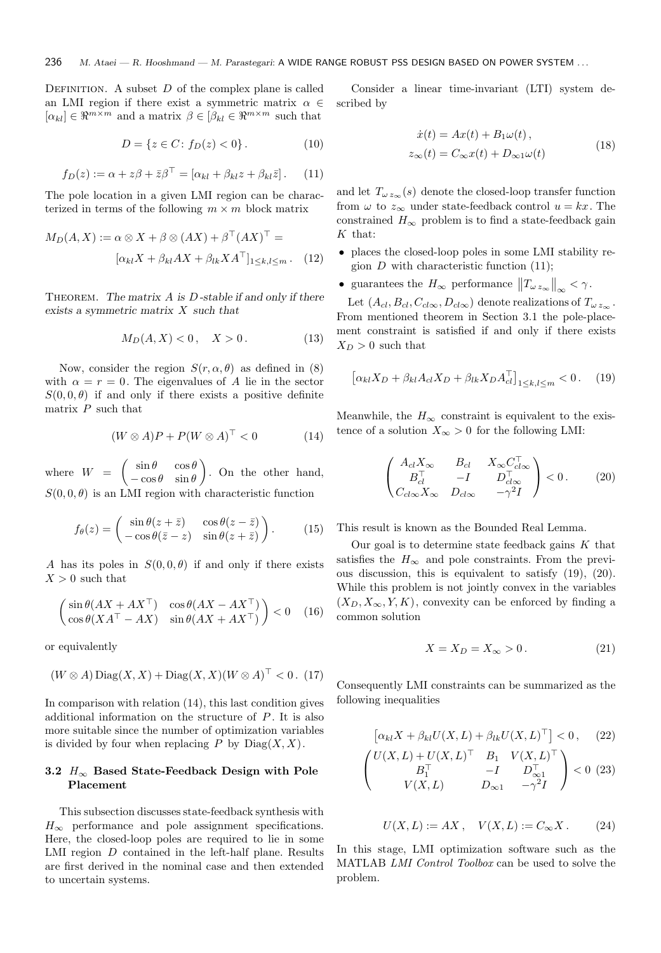DEFINITION. A subset  $D$  of the complex plane is called an LMI region if there exist a symmetric matrix  $\alpha \in$  $[\alpha_{kl}] \in \mathbb{R}^{m \times m}$  and a matrix  $\beta \in [\beta_{kl} \in \mathbb{R}^{m \times m}$  such that

$$
D = \{ z \in C : f_D(z) < 0 \} \,. \tag{10}
$$

$$
f_D(z) := \alpha + z\beta + \bar{z}\beta^{\top} = [\alpha_{kl} + \beta_{kl}z + \beta_{kl}\bar{z}]. \tag{11}
$$

The pole location in a given LMI region can be characterized in terms of the following  $m \times m$  block matrix

$$
M_D(A, X) := \alpha \otimes X + \beta \otimes (AX) + \beta^{\top} (AX)^{\top} =
$$

$$
[\alpha_{kl} X + \beta_{kl} AX + \beta_{lk} X A^{\top}]_{1 \le k, l \le m}. \quad (12)
$$

THEOREM. The matrix  $A$  is  $D$ -stable if and only if there exists a symmetric matrix X such that

$$
M_D(A, X) < 0, \quad X > 0. \tag{13}
$$

Now, consider the region  $S(r, \alpha, \theta)$  as defined in (8) with  $\alpha = r = 0$ . The eigenvalues of A lie in the sector  $S(0, 0, \theta)$  if and only if there exists a positive definite matrix  $P$  such that

$$
(W \otimes A)P + P(W \otimes A)^{\top} < 0 \tag{14}
$$

where  $W = \begin{pmatrix} \sin \theta & \cos \theta \\ \cos \theta & \sin \theta \end{pmatrix}$  $-\cos\theta \quad \sin\theta$  . On the other hand,  $S(0, 0, \theta)$  is an LMI region with characteristic function

$$
f_{\theta}(z) = \begin{pmatrix} \sin \theta(z + \bar{z}) & \cos \theta(z - \bar{z}) \\ -\cos \theta(\bar{z} - z) & \sin \theta(z + \bar{z}) \end{pmatrix}.
$$
 (15)

A has its poles in  $S(0,0,\theta)$  if and only if there exists  $X > 0$  such that

$$
\begin{pmatrix}\n\sin\theta (AX + AX^\top) & \cos\theta (AX - AX^\top) \\
\cos\theta (XA^\top - AX) & \sin\theta (AX + AX^\top)\n\end{pmatrix} < 0 \quad (16)
$$

or equivalently

$$
(W \otimes A) \operatorname{Diag}(X, X) + \operatorname{Diag}(X, X)(W \otimes A)^{\top} < 0. \tag{17}
$$

In comparison with relation (14), this last condition gives additional information on the structure of  $P$ . It is also more suitable since the number of optimization variables is divided by four when replacing  $P$  by  $Diag(X, X)$ .

## 3.2  $H_{\infty}$  Based State-Feedback Design with Pole Placement

This subsection discusses state-feedback synthesis with  $H_{\infty}$  performance and pole assignment specifications. Here, the closed-loop poles are required to lie in some LMI region  $D$  contained in the left-half plane. Results are first derived in the nominal case and then extended to uncertain systems.

Consider a linear time-invariant (LTI) system described by

$$
\begin{aligned}\n\dot{x}(t) &= Ax(t) + B_1 \omega(t), \\
z_{\infty}(t) &= C_{\infty} x(t) + D_{\infty 1} \omega(t)\n\end{aligned} \tag{18}
$$

and let  $T_{\omega z_{\infty}}(s)$  denote the closed-loop transfer function from  $\omega$  to  $z_{\infty}$  under state-feedback control  $u = kx$ . The constrained  $H_\infty$  problem is to find a state-feedback gain K that:

- places the closed-loop poles in some LMI stability region  $D$  with characteristic function  $(11)$ ;
- guarantees the  $H_{\infty}$  performance  $||T_{\omega z_{\infty}}||_{\infty} < \gamma$ .

Let  $(A_{cl}, B_{cl}, C_{cl\infty}, D_{cl\infty})$  denote realizations of  $T_{\omega z_{\infty}}$ . From mentioned theorem in Section 3.1 the pole-placement constraint is satisfied if and only if there exists  $X_D > 0$  such that

$$
\left[\alpha_{kl}X_D + \beta_{kl}A_{cl}X_D + \beta_{lk}X_D A_{cl}^\top\right]_{1 \le k,l \le m} < 0. \tag{19}
$$

Meanwhile, the  $H_{\infty}$  constraint is equivalent to the existence of a solution  $X_{\infty} > 0$  for the following LMI:

$$
\begin{pmatrix} A_{cl}X_{\infty} & B_{cl} & X_{\infty}C_{cl\infty}^{\top} \\ B_{cl}^{\top} & -I & D_{cl\infty}^{\top} \\ C_{cl\infty}X_{\infty} & D_{cl\infty} & -\gamma^{2}I \end{pmatrix} < 0.
$$
 (20)

This result is known as the Bounded Real Lemma.

Our goal is to determine state feedback gains  $K$  that satisfies the  $H_{\infty}$  and pole constraints. From the previous discussion, this is equivalent to satisfy (19), (20). While this problem is not jointly convex in the variables  $(X_D, X_\infty, Y, K)$ , convexity can be enforced by finding a common solution

$$
X = X_D = X_{\infty} > 0. \tag{21}
$$

Consequently LMI constraints can be summarized as the following inequalities

$$
[\alpha_{kl} X + \beta_{kl} U(X, L) + \beta_{lk} U(X, L)^{\top}] < 0, \quad (22)
$$

$$
\begin{pmatrix}\nU(X, L) + U(X, L)^{\top} & B_1 & V(X, L)^{\top} \\
B_1^{\top} & -I & D_{\infty 1}^{\top} \\
V(X, L) & D_{\infty 1} & -\gamma^2 I\n\end{pmatrix} < 0 \tag{23}
$$

$$
U(X, L) := AX, \quad V(X, L) := C_{\infty} X. \tag{24}
$$

In this stage, LMI optimization software such as the MATLAB LMI Control Toolbox can be used to solve the problem.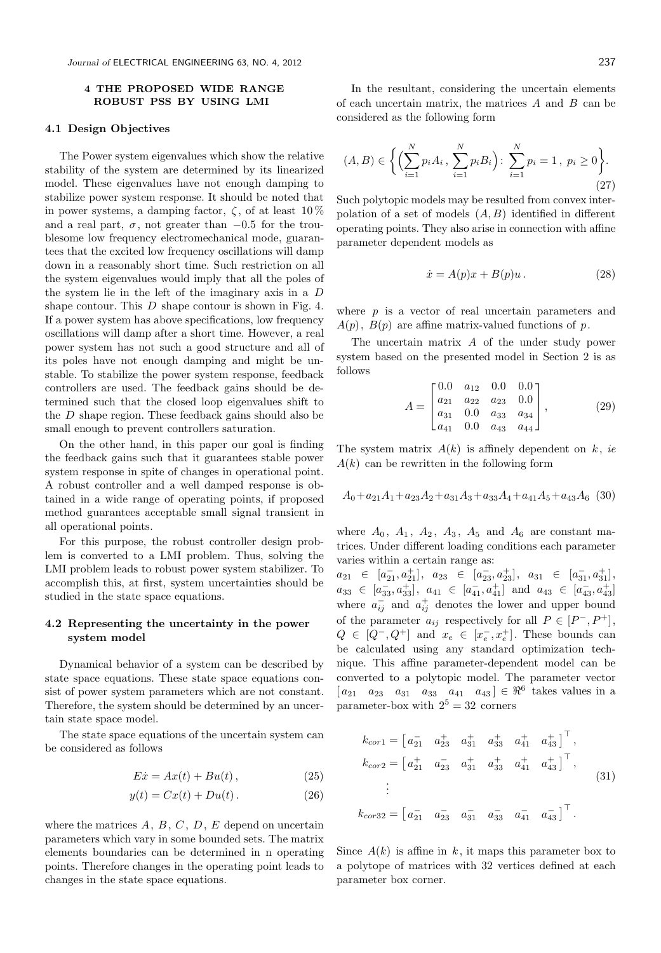## 4 THE PROPOSED WIDE RANGE ROBUST PSS BY USING LMI

## 4.1 Design Objectives

The Power system eigenvalues which show the relative stability of the system are determined by its linearized model. These eigenvalues have not enough damping to stabilize power system response. It should be noted that in power systems, a damping factor,  $\zeta$ , of at least 10 % and a real part,  $\sigma$ , not greater than  $-0.5$  for the troublesome low frequency electromechanical mode, guarantees that the excited low frequency oscillations will damp down in a reasonably short time. Such restriction on all the system eigenvalues would imply that all the poles of the system lie in the left of the imaginary axis in a D shape contour. This  $D$  shape contour is shown in Fig. 4. If a power system has above specifications, low frequency oscillations will damp after a short time. However, a real power system has not such a good structure and all of its poles have not enough damping and might be unstable. To stabilize the power system response, feedback controllers are used. The feedback gains should be determined such that the closed loop eigenvalues shift to the D shape region. These feedback gains should also be small enough to prevent controllers saturation.

On the other hand, in this paper our goal is finding the feedback gains such that it guarantees stable power system response in spite of changes in operational point. A robust controller and a well damped response is obtained in a wide range of operating points, if proposed method guarantees acceptable small signal transient in all operational points.

For this purpose, the robust controller design problem is converted to a LMI problem. Thus, solving the LMI problem leads to robust power system stabilizer. To accomplish this, at first, system uncertainties should be studied in the state space equations.

# 4.2 Representing the uncertainty in the power system model

Dynamical behavior of a system can be described by state space equations. These state space equations consist of power system parameters which are not constant. Therefore, the system should be determined by an uncertain state space model.

The state space equations of the uncertain system can be considered as follows

$$
E\dot{x} = Ax(t) + Bu(t), \qquad (25)
$$

$$
y(t) = Cx(t) + Du(t).
$$
 (26)

where the matrices  $A, B, C, D, E$  depend on uncertain parameters which vary in some bounded sets. The matrix elements boundaries can be determined in n operating points. Therefore changes in the operating point leads to changes in the state space equations.

In the resultant, considering the uncertain elements of each uncertain matrix, the matrices  $A$  and  $B$  can be considered as the following form

$$
(A, B) \in \left\{ \left( \sum_{i=1}^{N} p_i A_i, \sum_{i=1}^{N} p_i B_i \right) : \sum_{i=1}^{N} p_i = 1, p_i \ge 0 \right\}.
$$
\n(27)

Such polytopic models may be resulted from convex interpolation of a set of models  $(A, B)$  identified in different operating points. They also arise in connection with affine parameter dependent models as

$$
\dot{x} = A(p)x + B(p)u. \tag{28}
$$

where  $p$  is a vector of real uncertain parameters and  $A(p)$ ,  $B(p)$  are affine matrix-valued functions of p.

The uncertain matrix A of the under study power system based on the presented model in Section 2 is as follows

$$
A = \begin{bmatrix} 0.0 & a_{12} & 0.0 & 0.0 \\ a_{21} & a_{22} & a_{23} & 0.0 \\ a_{31} & 0.0 & a_{33} & a_{34} \\ a_{41} & 0.0 & a_{43} & a_{44} \end{bmatrix},
$$
(29)

The system matrix  $A(k)$  is affinely dependent on k, ie  $A(k)$  can be rewritten in the following form

 $A_0+a_{21}A_1+a_{23}A_2+a_{31}A_3+a_{33}A_4+a_{41}A_5+a_{43}A_6$  (30)

where  $A_0$ ,  $A_1$ ,  $A_2$ ,  $A_3$ ,  $A_5$  and  $A_6$  are constant matrices. Under different loading conditions each parameter varies within a certain range as:

 $a_{21} \in [a_{21}^-, a_{21}^+]$ ,  $a_{23} \in [a_{23}^-, a_{23}^+]$ ,  $a_{31} \in [a_{31}^-, a_{31}^+]$ ,  $a_{33} \in [a_{33}^-, a_{33}^+]$ ,  $a_{41} \in [a_{41}^-, a_{41}^+]$  and  $a_{43} \in [a_{43}^-, a_{43}^+]$ where  $a_{ij}^-$  and  $a_{ij}^+$  denotes the lower and upper bound of the parameter  $a_{ij}$  respectively for all  $P \in [P^-, P^+]$ ,  $Q \in [Q^-, Q^+]$  and  $x_e \in [x_e^-, x_e^+]$ . These bounds can be calculated using any standard optimization technique. This affine parameter-dependent model can be converted to a polytopic model. The parameter vector  $[a_{21} \ a_{23} \ a_{31} \ a_{33} \ a_{41} \ a_{43}] \in \mathbb{R}^6$  takes values in a parameter-box with  $2^5 = 32$  corners

$$
k_{cor1} = \begin{bmatrix} a_{21}^- & a_{23}^+ & a_{31}^+ & a_{33}^+ & a_{41}^+ & a_{43}^+ \end{bmatrix}^\top,
$$
  
\n
$$
k_{cor2} = \begin{bmatrix} a_{21}^+ & a_{23}^- & a_{31}^+ & a_{33}^+ & a_{41}^+ & a_{43}^+ \end{bmatrix}^\top,
$$
  
\n
$$
\vdots
$$
  
\n
$$
k_{cor32} = \begin{bmatrix} a_{21}^- & a_{23}^- & a_{31}^- & a_{33}^- & a_{41}^- & a_{43}^- \end{bmatrix}^\top.
$$
 (31)

Since  $A(k)$  is affine in k, it maps this parameter box to a polytope of matrices with 32 vertices defined at each parameter box corner.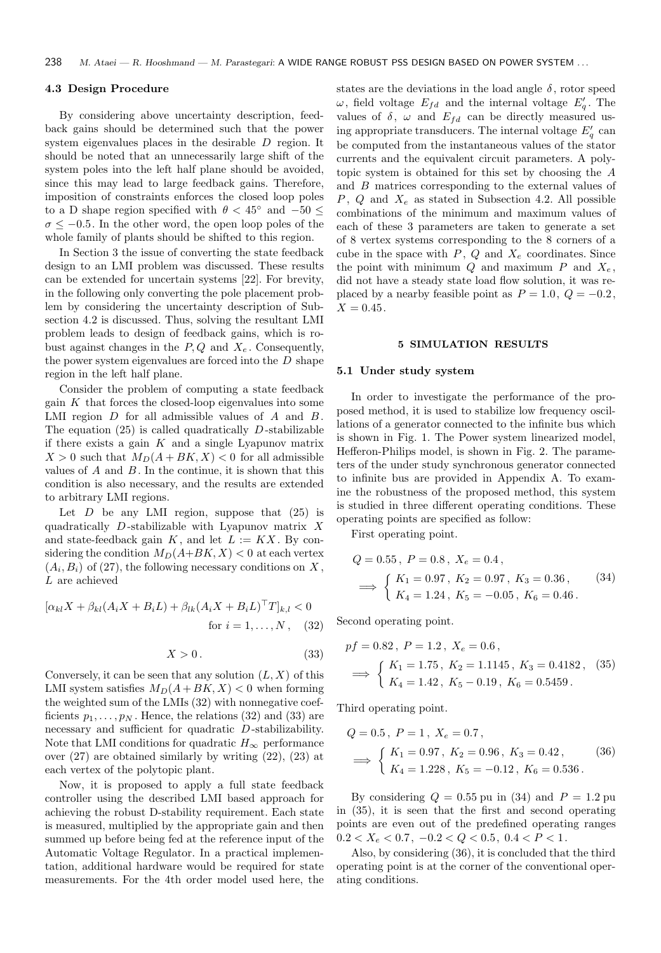## 4.3 Design Procedure

By considering above uncertainty description, feedback gains should be determined such that the power system eigenvalues places in the desirable D region. It should be noted that an unnecessarily large shift of the system poles into the left half plane should be avoided, since this may lead to large feedback gains. Therefore, imposition of constraints enforces the closed loop poles to a D shape region specified with  $\theta < 45^{\circ}$  and  $-50 \le$  $\sigma \leq -0.5$ . In the other word, the open loop poles of the whole family of plants should be shifted to this region.

In Section 3 the issue of converting the state feedback design to an LMI problem was discussed. These results can be extended for uncertain systems [22]. For brevity, in the following only converting the pole placement problem by considering the uncertainty description of Subsection 4.2 is discussed. Thus, solving the resultant LMI problem leads to design of feedback gains, which is robust against changes in the  $P, Q$  and  $X_e$ . Consequently, the power system eigenvalues are forced into the D shape region in the left half plane.

Consider the problem of computing a state feedback gain  $K$  that forces the closed-loop eigenvalues into some LMI region  $D$  for all admissible values of  $A$  and  $B$ . The equation  $(25)$  is called quadratically D-stabilizable if there exists a gain  $K$  and a single Lyapunov matrix  $X > 0$  such that  $M_D(A + BK, X) < 0$  for all admissible values of  $A$  and  $B$ . In the continue, it is shown that this condition is also necessary, and the results are extended to arbitrary LMI regions.

Let  $D$  be any LMI region, suppose that  $(25)$  is quadratically  $D$ -stabilizable with Lyapunov matrix  $X$ and state-feedback gain K, and let  $L := K X$ . By considering the condition  $M_D(A+BK, X) < 0$  at each vertex  $(A_i, B_i)$  of (27), the following necessary conditions on X, L are achieved

$$
[\alpha_{kl}X + \beta_{kl}(A_iX + B_iL) + \beta_{lk}(A_iX + B_iL)^{\top}T]_{k,l} < 0
$$
\n
$$
\text{for } i = 1, \dots, N \,, \quad (32)
$$

$$
X > 0. \tag{33}
$$

Conversely, it can be seen that any solution  $(L, X)$  of this LMI system satisfies  $M_D(A+BK, X) < 0$  when forming the weighted sum of the LMIs (32) with nonnegative coefficients  $p_1, \ldots, p_N$ . Hence, the relations (32) and (33) are necessary and sufficient for quadratic D-stabilizability. Note that LMI conditions for quadratic  $H_{\infty}$  performance over (27) are obtained similarly by writing (22), (23) at each vertex of the polytopic plant.

Now, it is proposed to apply a full state feedback controller using the described LMI based approach for achieving the robust D-stability requirement. Each state is measured, multiplied by the appropriate gain and then summed up before being fed at the reference input of the Automatic Voltage Regulator. In a practical implementation, additional hardware would be required for state measurements. For the 4th order model used here, the

states are the deviations in the load angle  $\delta$ , rotor speed  $\omega$ , field voltage  $E_{fd}$  and the internal voltage  $E'_{q}$ . The values of  $\delta$ ,  $\omega$  and  $E_{fd}$  can be directly measured using appropriate transducers. The internal voltage  $E_q'$  can be computed from the instantaneous values of the stator currents and the equivalent circuit parameters. A polytopic system is obtained for this set by choosing the A and B matrices corresponding to the external values of P, Q and  $X_e$  as stated in Subsection 4.2. All possible combinations of the minimum and maximum values of each of these 3 parameters are taken to generate a set of 8 vertex systems corresponding to the 8 corners of a cube in the space with  $P, Q$  and  $X_e$  coordinates. Since the point with minimum  $Q$  and maximum  $P$  and  $X_e$ , did not have a steady state load flow solution, it was replaced by a nearby feasible point as  $P = 1.0$ ,  $Q = -0.2$ ,  $X = 0.45$ .

#### 5 SIMULATION RESULTS

#### 5.1 Under study system

In order to investigate the performance of the proposed method, it is used to stabilize low frequency oscillations of a generator connected to the infinite bus which is shown in Fig. 1. The Power system linearized model, Hefferon-Philips model, is shown in Fig. 2. The parameters of the under study synchronous generator connected to infinite bus are provided in Appendix A. To examine the robustness of the proposed method, this system is studied in three different operating conditions. These operating points are specified as follow:

First operating point.

$$
Q = 0.55, P = 0.8, X_e = 0.4,
$$
  

$$
\implies \begin{cases} K_1 = 0.97, K_2 = 0.97, K_3 = 0.36, \\ K_4 = 1.24, K_5 = -0.05, K_6 = 0.46. \end{cases}
$$
(34)

Second operating point.

$$
pf = 0.82, P = 1.2, X_e = 0.6,
$$
  

$$
\implies \begin{cases} K_1 = 1.75, K_2 = 1.1145, K_3 = 0.4182, \\ K_4 = 1.42, K_5 - 0.19, K_6 = 0.5459. \end{cases}
$$
 (35)

Third operating point.

$$
Q = 0.5, P = 1, X_e = 0.7,
$$
  

$$
\implies \begin{cases} K_1 = 0.97, K_2 = 0.96, K_3 = 0.42, \\ K_4 = 1.228, K_5 = -0.12, K_6 = 0.536. \end{cases}
$$
 (36)

By considering  $Q = 0.55$  pu in (34) and  $P = 1.2$  pu in (35), it is seen that the first and second operating points are even out of the predefined operating ranges  $0.2 < X_e < 0.7, -0.2 < Q < 0.5, 0.4 < P < 1.$ 

Also, by considering (36), it is concluded that the third operating point is at the corner of the conventional operating conditions.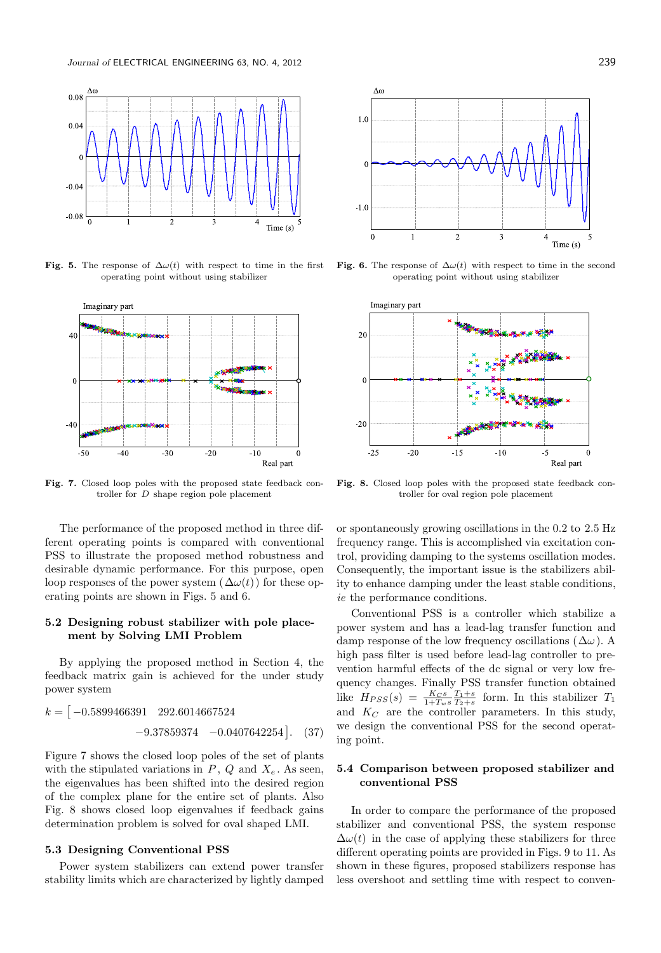

Fig. 5. The response of  $\Delta\omega(t)$  with respect to time in the first operating point without using stabilizer



Fig. 7. Closed loop poles with the proposed state feedback controller for D shape region pole placement

The performance of the proposed method in three different operating points is compared with conventional PSS to illustrate the proposed method robustness and desirable dynamic performance. For this purpose, open loop responses of the power system  $(\Delta \omega(t))$  for these operating points are shown in Figs. 5 and 6.

# 5.2 Designing robust stabilizer with pole placement by Solving LMI Problem

By applying the proposed method in Section 4, the feedback matrix gain is achieved for the under study power system

$$
k = [-0.5899466391 \quad 292.6014667524
$$
  

$$
-9.37859374 \quad -0.0407642254].
$$
 (37)

Figure 7 shows the closed loop poles of the set of plants with the stipulated variations in  $P$ ,  $Q$  and  $X_e$ . As seen, the eigenvalues has been shifted into the desired region of the complex plane for the entire set of plants. Also Fig. 8 shows closed loop eigenvalues if feedback gains determination problem is solved for oval shaped LMI.

#### 5.3 Designing Conventional PSS

Power system stabilizers can extend power transfer stability limits which are characterized by lightly damped



Fig. 6. The response of  $\Delta\omega(t)$  with respect to time in the second operating point without using stabilizer



Fig. 8. Closed loop poles with the proposed state feedback controller for oval region pole placement

or spontaneously growing oscillations in the 0.2 to 2.5 Hz frequency range. This is accomplished via excitation control, providing damping to the systems oscillation modes. Consequently, the important issue is the stabilizers ability to enhance damping under the least stable conditions, ie the performance conditions.

Conventional PSS is a controller which stabilize a power system and has a lead-lag transfer function and damp response of the low frequency oscillations ( $\Delta\omega$ ). A high pass filter is used before lead-lag controller to prevention harmful effects of the dc signal or very low frequency changes. Finally PSS transfer function obtained like  $H_{PSS}(s) = \frac{K_{CS}}{1+T_{ws}} \frac{T_1+s}{T_2+s}$  form. In this stabilizer  $T_1$ and  $K_C$  are the controller parameters. In this study, we design the conventional PSS for the second operating point.

## 5.4 Comparison between proposed stabilizer and conventional PSS

In order to compare the performance of the proposed stabilizer and conventional PSS, the system response  $\Delta\omega(t)$  in the case of applying these stabilizers for three different operating points are provided in Figs. 9 to 11. As shown in these figures, proposed stabilizers response has less overshoot and settling time with respect to conven-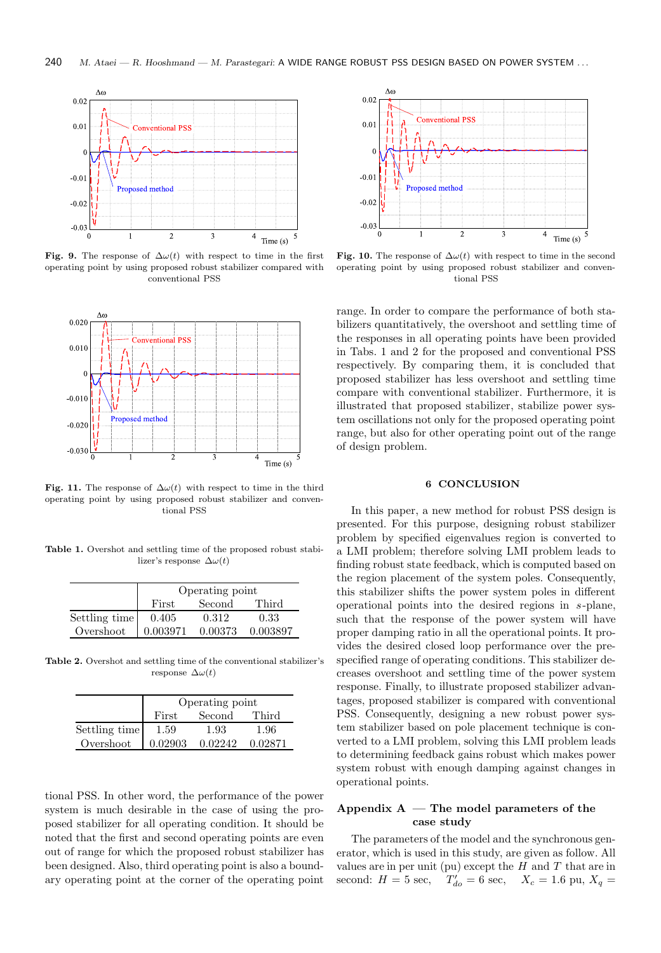

Fig. 9. The response of  $\Delta\omega(t)$  with respect to time in the first operating point by using proposed robust stabilizer compared with conventional PSS



Fig. 11. The response of  $\Delta\omega(t)$  with respect to time in the third operating point by using proposed robust stabilizer and conventional PSS

Table 1. Overshot and settling time of the proposed robust stabilizer's response  $\Delta\omega(t)$ 

|               | Operating point |         |          |  |
|---------------|-----------------|---------|----------|--|
|               | First           | Second  | Third    |  |
| Settling time | 0.405           | 0.312   | 0.33     |  |
| Overshoot     | 0.003971        | 0.00373 | 0.003897 |  |

Table 2. Overshot and settling time of the conventional stabilizer's response  $\Delta\omega(t)$ 

|               | Operating point |         |         |  |
|---------------|-----------------|---------|---------|--|
|               | First           | Second  | Third   |  |
| Settling time | 1.59            | 1.93    | 1.96    |  |
| Overshoot     | 0.02903         | 0.02242 | 0.02871 |  |

tional PSS. In other word, the performance of the power system is much desirable in the case of using the proposed stabilizer for all operating condition. It should be noted that the first and second operating points are even out of range for which the proposed robust stabilizer has been designed. Also, third operating point is also a boundary operating point at the corner of the operating point



Fig. 10. The response of  $\Delta\omega(t)$  with respect to time in the second operating point by using proposed robust stabilizer and conventional PSS

range. In order to compare the performance of both stabilizers quantitatively, the overshoot and settling time of the responses in all operating points have been provided in Tabs. 1 and 2 for the proposed and conventional PSS respectively. By comparing them, it is concluded that proposed stabilizer has less overshoot and settling time compare with conventional stabilizer. Furthermore, it is illustrated that proposed stabilizer, stabilize power system oscillations not only for the proposed operating point range, but also for other operating point out of the range of design problem.

#### 6 CONCLUSION

In this paper, a new method for robust PSS design is presented. For this purpose, designing robust stabilizer problem by specified eigenvalues region is converted to a LMI problem; therefore solving LMI problem leads to finding robust state feedback, which is computed based on the region placement of the system poles. Consequently, this stabilizer shifts the power system poles in different operational points into the desired regions in s-plane, such that the response of the power system will have proper damping ratio in all the operational points. It provides the desired closed loop performance over the prespecified range of operating conditions. This stabilizer decreases overshoot and settling time of the power system response. Finally, to illustrate proposed stabilizer advantages, proposed stabilizer is compared with conventional PSS. Consequently, designing a new robust power system stabilizer based on pole placement technique is converted to a LMI problem, solving this LMI problem leads to determining feedback gains robust which makes power system robust with enough damping against changes in operational points.

# Appendix  $A$  — The model parameters of the case study

The parameters of the model and the synchronous generator, which is used in this study, are given as follow. All values are in per unit (pu) except the  $H$  and  $T$  that are in second:  $H = 5$  sec,  $T'_{do} = 6$  sec,  $X_c = 1.6$  pu,  $X_q =$